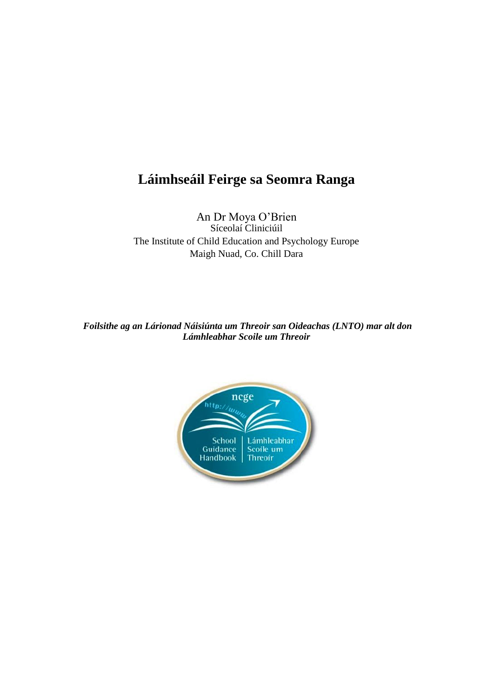# **Láimhseáil Feirge sa Seomra Ranga**

An Dr Moya O'Brien Síceolaí Cliniciúil The Institute of Child Education and Psychology Europe Maigh Nuad, Co. Chill Dara

*Foilsithe ag an Lárionad Náisiúnta um Threoir san Oideachas (LNTO) mar alt don Lámhleabhar Scoile um Threoir*

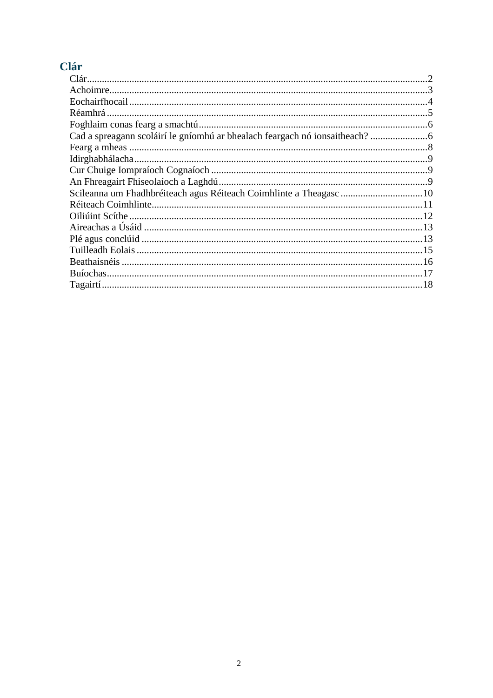# Clár

| Réamhrá |  |
|---------|--|
|         |  |
|         |  |
|         |  |
|         |  |
|         |  |
|         |  |
|         |  |
|         |  |
|         |  |
|         |  |
|         |  |
|         |  |
|         |  |
|         |  |
|         |  |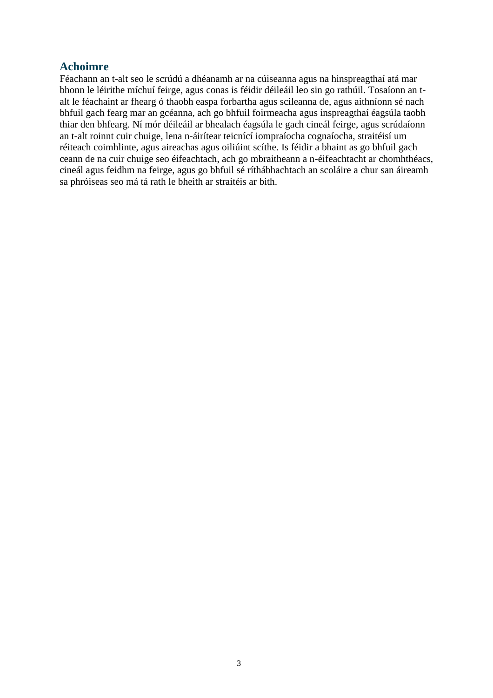#### **Achoimre**

Féachann an t-alt seo le scrúdú a dhéanamh ar na cúiseanna agus na hinspreagthaí atá mar bhonn le léirithe míchuí feirge, agus conas is féidir déileáil leo sin go rathúil. Tosaíonn an talt le féachaint ar fhearg ó thaobh easpa forbartha agus scileanna de, agus aithníonn sé nach bhfuil gach fearg mar an gcéanna, ach go bhfuil foirmeacha agus inspreagthaí éagsúla taobh thiar den bhfearg. Ní mór déileáil ar bhealach éagsúla le gach cineál feirge, agus scrúdaíonn an t-alt roinnt cuir chuige, lena n-áirítear teicnící iompraíocha cognaíocha, straitéisí um réiteach coimhlinte, agus aireachas agus oiliúint scíthe. Is féidir a bhaint as go bhfuil gach ceann de na cuir chuige seo éifeachtach, ach go mbraitheann a n-éifeachtacht ar chomhthéacs, cineál agus feidhm na feirge, agus go bhfuil sé ríthábhachtach an scoláire a chur san áireamh sa phróiseas seo má tá rath le bheith ar straitéis ar bith.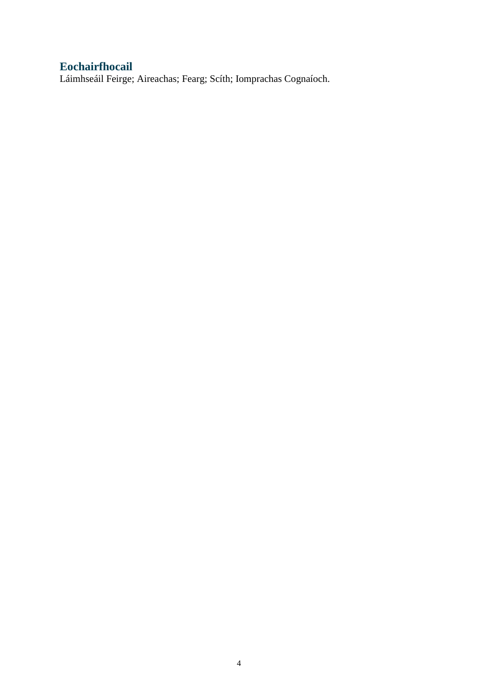## **Eochairfhocail**

Láimhseáil Feirge; Aireachas; Fearg; Scíth; Iomprachas Cognaíoch.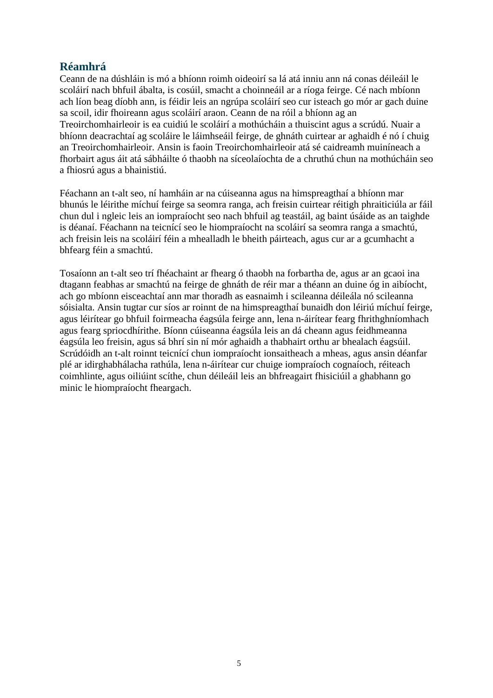### **Réamhrá**

Ceann de na dúshláin is mó a bhíonn roimh oideoirí sa lá atá inniu ann ná conas déileáil le scoláirí nach bhfuil ábalta, is cosúil, smacht a choinneáil ar a ríoga feirge. Cé nach mbíonn ach líon beag díobh ann, is féidir leis an ngrúpa scoláirí seo cur isteach go mór ar gach duine sa scoil, idir fhoireann agus scoláirí araon. Ceann de na róil a bhíonn ag an Treoirchomhairleoir is ea cuidiú le scoláirí a mothúcháin a thuiscint agus a scrúdú. Nuair a bhíonn deacrachtaí ag scoláire le láimhseáil feirge, de ghnáth cuirtear ar aghaidh é nó í chuig an Treoirchomhairleoir. Ansin is faoin Treoirchomhairleoir atá sé caidreamh muiníneach a fhorbairt agus áit atá sábháilte ó thaobh na síceolaíochta de a chruthú chun na mothúcháin seo a fhiosrú agus a bhainistiú.

Féachann an t-alt seo, ní hamháin ar na cúiseanna agus na himspreagthaí a bhíonn mar bhunús le léirithe míchuí feirge sa seomra ranga, ach freisin cuirtear réitigh phraiticiúla ar fáil chun dul i ngleic leis an iompraíocht seo nach bhfuil ag teastáil, ag baint úsáide as an taighde is déanaí. Féachann na teicnící seo le hiompraíocht na scoláirí sa seomra ranga a smachtú, ach freisin leis na scoláirí féin a mhealladh le bheith páirteach, agus cur ar a gcumhacht a bhfearg féin a smachtú.

Tosaíonn an t-alt seo trí fhéachaint ar fhearg ó thaobh na forbartha de, agus ar an gcaoi ina dtagann feabhas ar smachtú na feirge de ghnáth de réir mar a théann an duine óg in aibíocht, ach go mbíonn eisceachtaí ann mar thoradh as easnaimh i scileanna déileála nó scileanna sóisialta. Ansin tugtar cur síos ar roinnt de na himspreagthaí bunaidh don léiriú míchuí feirge, agus léirítear go bhfuil foirmeacha éagsúla feirge ann, lena n-áirítear fearg fhrithghníomhach agus fearg spriocdhírithe. Bíonn cúiseanna éagsúla leis an dá cheann agus feidhmeanna éagsúla leo freisin, agus sá bhrí sin ní mór aghaidh a thabhairt orthu ar bhealach éagsúil. Scrúdóidh an t-alt roinnt teicnící chun iompraíocht ionsaitheach a mheas, agus ansin déanfar plé ar idirghabhálacha rathúla, lena n-áirítear cur chuige iompraíoch cognaíoch, réiteach coimhlinte, agus oiliúint scíthe, chun déileáil leis an bhfreagairt fhisiciúil a ghabhann go minic le hiompraíocht fheargach.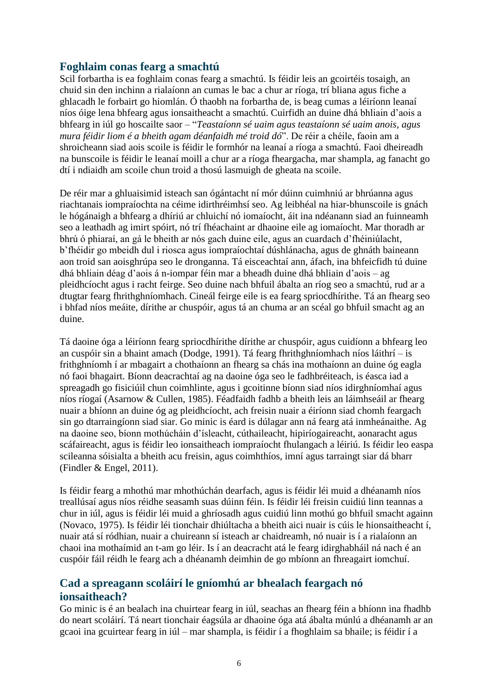#### **Foghlaim conas fearg a smachtú**

Scil forbartha is ea foghlaim conas fearg a smachtú. Is féidir leis an gcoirtéis tosaigh, an chuid sin den inchinn a rialaíonn an cumas le bac a chur ar ríoga, trí bliana agus fiche a ghlacadh le forbairt go hiomlán. Ó thaobh na forbartha de, is beag cumas a léiríonn leanaí níos óige lena bhfearg agus ionsaitheacht a smachtú. Cuirfidh an duine dhá bhliain d'aois a bhfearg in iúl go hoscailte saor – "*Teastaíonn sé uaim agus teastaíonn sé uaim anois, agus mura féidir liom é a bheith agam déanfaidh mé troid dó*". De réir a chéile, faoin am a shroicheann siad aois scoile is féidir le formhór na leanaí a ríoga a smachtú. Faoi dheireadh na bunscoile is féidir le leanaí moill a chur ar a ríoga fheargacha, mar shampla, ag fanacht go dtí i ndiaidh am scoile chun troid a thosú lasmuigh de gheata na scoile.

De réir mar a ghluaisimid isteach san ógántacht ní mór dúinn cuimhniú ar bhrúanna agus riachtanais iompraíochta na céime idirthréimhsí seo. Ag leibhéal na hiar-bhunscoile is gnách le hógánaigh a bhfearg a dhíriú ar chluichí nó iomaíocht, áit ina ndéanann siad an fuinneamh seo a leathadh ag imirt spóirt, nó trí fhéachaint ar dhaoine eile ag iomaíocht. Mar thoradh ar bhrú ó phiaraí, an gá le bheith ar nós gach duine eile, agus an cuardach d'fhéiniúlacht, b'fhéidir go mbeidh dul i riosca agus iompraíochtaí dúshlánacha, agus de ghnáth baineann aon troid san aoisghrúpa seo le dronganna. Tá eisceachtaí ann, áfach, ina bhfeicfidh tú duine dhá bhliain déag d'aois á n-iompar féin mar a bheadh duine dhá bhliain d'aois – ag pleidhcíocht agus i racht feirge. Seo duine nach bhfuil ábalta an ríog seo a smachtú, rud ar a dtugtar fearg fhrithghníomhach. Cineál feirge eile is ea fearg spriocdhírithe. Tá an fhearg seo i bhfad níos meáite, dírithe ar chuspóir, agus tá an chuma ar an scéal go bhfuil smacht ag an duine.

Tá daoine óga a léiríonn fearg spriocdhírithe dírithe ar chuspóir, agus cuidíonn a bhfearg leo an cuspóir sin a bhaint amach (Dodge, 1991). Tá fearg fhrithghníomhach níos láithrí – is frithghníomh í ar mbagairt a chothaíonn an fhearg sa chás ina mothaíonn an duine óg eagla nó faoi bhagairt. Bíonn deacrachtaí ag na daoine óga seo le fadhbréiteach, is éasca iad a spreagadh go fisiciúil chun coimhlinte, agus i gcoitinne bíonn siad níos idirghníomhaí agus níos ríogaí (Asarnow & Cullen, 1985). Féadfaidh fadhb a bheith leis an láimhseáil ar fhearg nuair a bhíonn an duine óg ag pleidhcíocht, ach freisin nuair a éiríonn siad chomh feargach sin go dtarraingíonn siad siar. Go minic is éard is dúlagar ann ná fearg atá inmheánaithe. Ag na daoine seo, bíonn mothúcháin d'ísleacht, cúthaileacht, hipiríogaireacht, aonaracht agus scáfaireacht, agus is féidir leo ionsaitheach iompraíocht fhulangach a léiriú. Is féidir leo easpa scileanna sóisialta a bheith acu freisin, agus coimhthíos, imní agus tarraingt siar dá bharr (Findler & Engel, 2011).

Is féidir fearg a mhothú mar mhothúchán dearfach, agus is féidir léi muid a dhéanamh níos treallúsaí agus níos réidhe seasamh suas dúinn féin. Is féidir léi freisin cuidiú linn teannas a chur in iúl, agus is féidir léi muid a ghríosadh agus cuidiú linn mothú go bhfuil smacht againn (Novaco, 1975). Is féidir léi tionchair dhiúltacha a bheith aici nuair is cúis le hionsaitheacht í, nuair atá sí ródhian, nuair a chuireann sí isteach ar chaidreamh, nó nuair is í a rialaíonn an chaoi ina mothaímid an t-am go léir. Is í an deacracht atá le fearg idirghabháil ná nach é an cuspóir fáil réidh le fearg ach a dhéanamh deimhin de go mbíonn an fhreagairt iomchuí.

### **Cad a spreagann scoláirí le gníomhú ar bhealach feargach nó ionsaitheach?**

Go minic is é an bealach ina chuirtear fearg in iúl, seachas an fhearg féin a bhíonn ina fhadhb do neart scoláirí. Tá neart tionchair éagsúla ar dhaoine óga atá ábalta múnlú a dhéanamh ar an gcaoi ina gcuirtear fearg in iúl – mar shampla, is féidir í a fhoghlaim sa bhaile; is féidir í a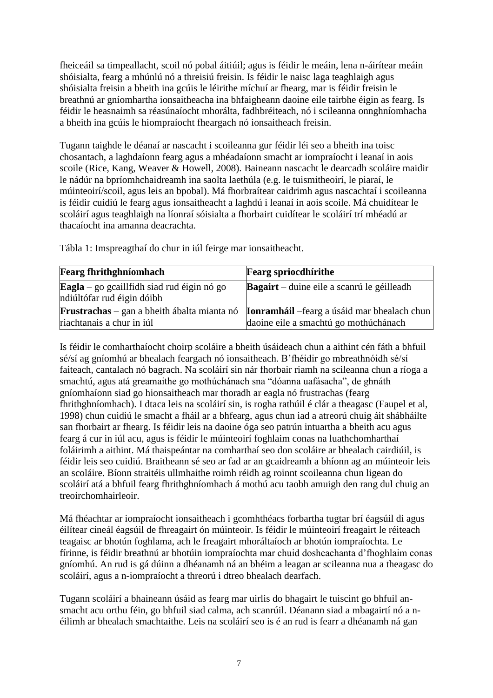fheiceáil sa timpeallacht, scoil nó pobal áitiúil; agus is féidir le meáin, lena n-áirítear meáin shóisialta, fearg a mhúnlú nó a threisiú freisin. Is féidir le naisc laga teaghlaigh agus shóisialta freisin a bheith ina gcúis le léirithe míchuí ar fhearg, mar is féidir freisin le breathnú ar gníomhartha ionsaitheacha ina bhfaigheann daoine eile tairbhe éigin as fearg. Is féidir le heasnaimh sa réasúnaíocht mhorálta, fadhbréiteach, nó i scileanna onnghníomhacha a bheith ina gcúis le hiompraíocht fheargach nó ionsaitheach freisin.

Tugann taighde le déanaí ar nascacht i scoileanna gur féidir léi seo a bheith ina toisc chosantach, a laghdaíonn fearg agus a mhéadaíonn smacht ar iompraíocht i leanaí in aois scoile (Rice, Kang, Weaver & Howell, 2008). Baineann nascacht le dearcadh scoláire maidir le nádúr na bpríomhchaidreamh ina saolta laethúla (e.g. le tuismitheoirí, le piaraí, le múinteoirí/scoil, agus leis an bpobal). Má fhorbraítear caidrimh agus nascachtaí i scoileanna is féidir cuidiú le fearg agus ionsaitheacht a laghdú i leanaí in aois scoile. Má chuidítear le scoláirí agus teaghlaigh na líonraí sóisialta a fhorbairt cuidítear le scoláirí trí mhéadú ar thacaíocht ina amanna deacrachta.

| <b>Fearg fhrithghníomhach</b>                                            | <b>Fearg spriocdhirithe</b>                                                                                                                     |
|--------------------------------------------------------------------------|-------------------------------------------------------------------------------------------------------------------------------------------------|
| Eagla – go gcaillfidh siad rud éigin nó go<br>ndiúltófar rud éigin dóibh | <b>Bagairt</b> – duine eile a scanrú le géilleadh                                                                                               |
| riachtanais a chur in iúl                                                | <b>Frustrachas</b> – gan a bheith ábalta mianta nó <b>Ionramháil</b> – fearg a úsáid mar bhealach chun<br>daoine eile a smachtú go mothúchánach |

Tábla 1: Imspreagthaí do chur in iúl feirge mar ionsaitheacht.

Is féidir le comharthaíocht choirp scoláire a bheith úsáideach chun a aithint cén fáth a bhfuil sé/sí ag gníomhú ar bhealach feargach nó ionsaitheach. B'fhéidir go mbreathnóidh sé/sí faiteach, cantalach nó bagrach. Na scoláirí sin nár fhorbair riamh na scileanna chun a ríoga a smachtú, agus atá greamaithe go mothúchánach sna "dóanna uafásacha", de ghnáth gníomhaíonn siad go hionsaitheach mar thoradh ar eagla nó frustrachas (fearg fhrithghníomhach). I dtaca leis na scoláirí sin, is rogha rathúil é clár a theagasc (Faupel et al, 1998) chun cuidiú le smacht a fháil ar a bhfearg, agus chun iad a atreorú chuig áit shábháilte san fhorbairt ar fhearg. Is féidir leis na daoine óga seo patrún intuartha a bheith acu agus fearg á cur in iúl acu, agus is féidir le múinteoirí foghlaim conas na luathchomharthaí foláirimh a aithint. Má thaispeántar na comharthaí seo don scoláire ar bhealach cairdiúil, is féidir leis seo cuidiú. Braitheann sé seo ar fad ar an gcaidreamh a bhíonn ag an múinteoir leis an scoláire. Bíonn straitéis ullmhaithe roimh réidh ag roinnt scoileanna chun ligean do scoláirí atá a bhfuil fearg fhrithghníomhach á mothú acu taobh amuigh den rang dul chuig an treoirchomhairleoir.

Má fhéachtar ar iompraíocht ionsaitheach i gcomhthéacs forbartha tugtar brí éagsúil di agus éilítear cineál éagsúil de fhreagairt ón múinteoir. Is féidir le múinteoirí freagairt le réiteach teagaisc ar bhotún foghlama, ach le freagairt mhoráltaíoch ar bhotún iompraíochta. Le fírinne, is féidir breathnú ar bhotúin iompraíochta mar chuid dosheachanta d'fhoghlaim conas gníomhú. An rud is gá dúinn a dhéanamh ná an bhéim a leagan ar scileanna nua a theagasc do scoláirí, agus a n-iompraíocht a threorú i dtreo bhealach dearfach.

Tugann scoláirí a bhaineann úsáid as fearg mar uirlis do bhagairt le tuiscint go bhfuil ansmacht acu orthu féin, go bhfuil siad calma, ach scanrúil. Déanann siad a mbagairtí nó a néilimh ar bhealach smachtaithe. Leis na scoláirí seo is é an rud is fearr a dhéanamh ná gan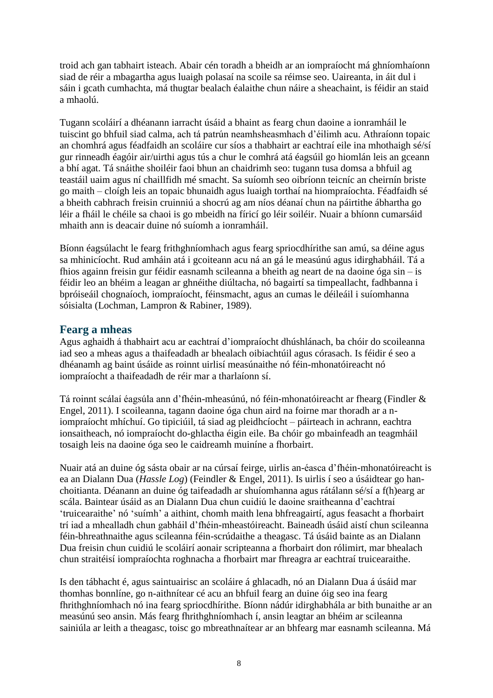troid ach gan tabhairt isteach. Abair cén toradh a bheidh ar an iompraíocht má ghníomhaíonn siad de réir a mbagartha agus luaigh polasaí na scoile sa réimse seo. Uaireanta, in áit dul i sáin i gcath cumhachta, má thugtar bealach éalaithe chun náire a sheachaint, is féidir an staid a mhaolú.

Tugann scoláirí a dhéanann iarracht úsáid a bhaint as fearg chun daoine a ionramháil le tuiscint go bhfuil siad calma, ach tá patrún neamhsheasmhach d'éilimh acu. Athraíonn topaic an chomhrá agus féadfaidh an scoláire cur síos a thabhairt ar eachtraí eile ina mhothaigh sé/sí gur rinneadh éagóir air/uirthi agus tús a chur le comhrá atá éagsúil go hiomlán leis an gceann a bhí agat. Tá snáithe shoiléir faoi bhun an chaidrimh seo: tugann tusa domsa a bhfuil ag teastáil uaim agus ní chaillfidh mé smacht. Sa suíomh seo oibríonn teicníc an cheirnín briste go maith – cloígh leis an topaic bhunaidh agus luaigh torthaí na hiompraíochta. Féadfaidh sé a bheith cabhrach freisin cruinniú a shocrú ag am níos déanaí chun na páirtithe ábhartha go léir a fháil le chéile sa chaoi is go mbeidh na fíricí go léir soiléir. Nuair a bhíonn cumarsáid mhaith ann is deacair duine nó suíomh a ionramháil.

Bíonn éagsúlacht le fearg frithghníomhach agus fearg spriocdhírithe san amú, sa déine agus sa mhinicíocht. Rud amháin atá i gcoiteann acu ná an gá le measúnú agus idirghabháil. Tá a fhios againn freisin gur féidir easnamh scileanna a bheith ag neart de na daoine óga sin – is féidir leo an bhéim a leagan ar ghnéithe diúltacha, nó bagairtí sa timpeallacht, fadhbanna i bpróiseáil chognaíoch, iompraíocht, féinsmacht, agus an cumas le déileáil i suíomhanna sóisialta (Lochman, Lampron & Rabiner, 1989).

#### **Fearg a mheas**

Agus aghaidh á thabhairt acu ar eachtraí d'iompraíocht dhúshlánach, ba chóir do scoileanna iad seo a mheas agus a thaifeadadh ar bhealach oibiachtúil agus córasach. Is féidir é seo a dhéanamh ag baint úsáide as roinnt uirlisí measúnaithe nó féin-mhonatóireacht nó iompraíocht a thaifeadadh de réir mar a tharlaíonn sí.

Tá roinnt scálaí éagsúla ann d'fhéin-mheasúnú, nó féin-mhonatóireacht ar fhearg (Findler & Engel, 2011). I scoileanna, tagann daoine óga chun aird na foirne mar thoradh ar a niompraíocht mhíchuí. Go tipiciúil, tá siad ag pleidhcíocht – páirteach in achrann, eachtra ionsaitheach, nó iompraíocht do-ghlactha éigin eile. Ba chóir go mbainfeadh an teagmháil tosaigh leis na daoine óga seo le caidreamh muiníne a fhorbairt.

Nuair atá an duine óg sásta obair ar na cúrsaí feirge, uirlis an-éasca d'fhéin-mhonatóireacht is ea an Dialann Dua (*Hassle Log*) (Feindler & Engel, 2011). Is uirlis í seo a úsáidtear go hanchoitianta. Déanann an duine óg taifeadadh ar shuíomhanna agus rátálann sé/sí a f(h)earg ar scála. Baintear úsáid as an Dialann Dua chun cuidiú le daoine sraitheanna d'eachtraí 'truicearaithe' nó 'suímh' a aithint, chomh maith lena bhfreagairtí, agus feasacht a fhorbairt trí iad a mhealladh chun gabháil d'fhéin-mheastóireacht. Baineadh úsáid aistí chun scileanna féin-bhreathnaithe agus scileanna féin-scrúdaithe a theagasc. Tá úsáid bainte as an Dialann Dua freisin chun cuidiú le scoláirí aonair scripteanna a fhorbairt don rólimirt, mar bhealach chun straitéisí iompraíochta roghnacha a fhorbairt mar fhreagra ar eachtraí truicearaithe.

Is den tábhacht é, agus saintuairisc an scoláire á ghlacadh, nó an Dialann Dua á úsáid mar thomhas bonnlíne, go n-aithnítear cé acu an bhfuil fearg an duine óig seo ina fearg fhrithghníomhach nó ina fearg spriocdhírithe. Bíonn nádúr idirghabhála ar bith bunaithe ar an measúnú seo ansin. Más fearg fhrithghníomhach í, ansin leagtar an bhéim ar scileanna sainiúla ar leith a theagasc, toisc go mbreathnaítear ar an bhfearg mar easnamh scileanna. Má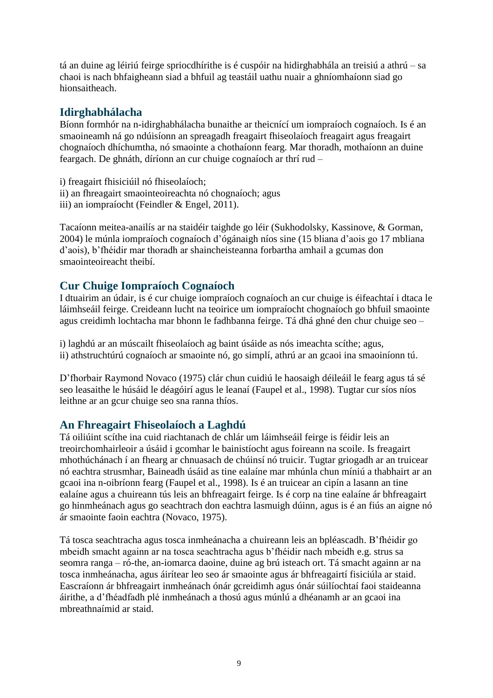tá an duine ag léiriú feirge spriocdhírithe is é cuspóir na hidirghabhála an treisiú a athrú – sa chaoi is nach bhfaigheann siad a bhfuil ag teastáil uathu nuair a ghníomhaíonn siad go hionsaitheach.

## **Idirghabhálacha**

Bíonn formhór na n-idirghabhálacha bunaithe ar theicnící um iompraíoch cognaíoch. Is é an smaoineamh ná go ndúisíonn an spreagadh freagairt fhiseolaíoch freagairt agus freagairt chognaíoch dhíchumtha, nó smaointe a chothaíonn fearg. Mar thoradh, mothaíonn an duine feargach. De ghnáth, díríonn an cur chuige cognaíoch ar thrí rud –

i) freagairt fhisiciúil nó fhiseolaíoch; ii) an fhreagairt smaointeoireachta nó chognaíoch; agus iii) an iompraíocht (Feindler & Engel, 2011).

Tacaíonn meitea-anailís ar na staidéir taighde go léir (Sukhodolsky, Kassinove, & Gorman, 2004) le múnla iompraíoch cognaíoch d'ógánaigh níos sine (15 bliana d'aois go 17 mbliana d'aois), b'fhéidir mar thoradh ar shaincheisteanna forbartha amhail a gcumas don smaointeoireacht theibí.

## **Cur Chuige Iompraíoch Cognaíoch**

I dtuairim an údair, is é cur chuige iompraíoch cognaíoch an cur chuige is éifeachtaí i dtaca le láimhseáil feirge. Creideann lucht na teoirice um iompraíocht chognaíoch go bhfuil smaointe agus creidimh lochtacha mar bhonn le fadhbanna feirge. Tá dhá ghné den chur chuige seo –

i) laghdú ar an múscailt fhiseolaíoch ag baint úsáide as nós imeachta scíthe; agus, ii) athstruchtúrú cognaíoch ar smaointe nó, go simplí, athrú ar an gcaoi ina smaoiníonn tú.

D'fhorbair Raymond Novaco (1975) clár chun cuidiú le haosaigh déileáil le fearg agus tá sé seo leasaithe le húsáid le déagóirí agus le leanaí (Faupel et al., 1998). Tugtar cur síos níos leithne ar an gcur chuige seo sna ranna thíos.

#### **An Fhreagairt Fhiseolaíoch a Laghdú**

Tá oiliúint scíthe ina cuid riachtanach de chlár um láimhseáil feirge is féidir leis an treoirchomhairleoir a úsáid i gcomhar le bainistíocht agus foireann na scoile. Is freagairt mhothúchánach í an fhearg ar chnuasach de chúinsí nó truicir. Tugtar griogadh ar an truicear nó eachtra strusmhar, Baineadh úsáid as tine ealaíne mar mhúnla chun míniú a thabhairt ar an gcaoi ina n-oibríonn fearg (Faupel et al., 1998). Is é an truicear an cipín a lasann an tine ealaíne agus a chuireann tús leis an bhfreagairt feirge. Is é corp na tine ealaíne ár bhfreagairt go hinmheánach agus go seachtrach don eachtra lasmuigh dúinn, agus is é an fiús an aigne nó ár smaointe faoin eachtra (Novaco, 1975).

Tá tosca seachtracha agus tosca inmheánacha a chuireann leis an bpléascadh. B'fhéidir go mbeidh smacht againn ar na tosca seachtracha agus b'fhéidir nach mbeidh e.g. strus sa seomra ranga – ró-the, an-iomarca daoine, duine ag brú isteach ort. Tá smacht againn ar na tosca inmheánacha, agus áirítear leo seo ár smaointe agus ár bhfreagairtí fisiciúla ar staid. Eascraíonn ár bhfreagairt inmheánach ónár gcreidimh agus ónár súilíochtaí faoi staideanna áirithe, a d'fhéadfadh plé inmheánach a thosú agus múnlú a dhéanamh ar an gcaoi ina mbreathnaímid ar staid.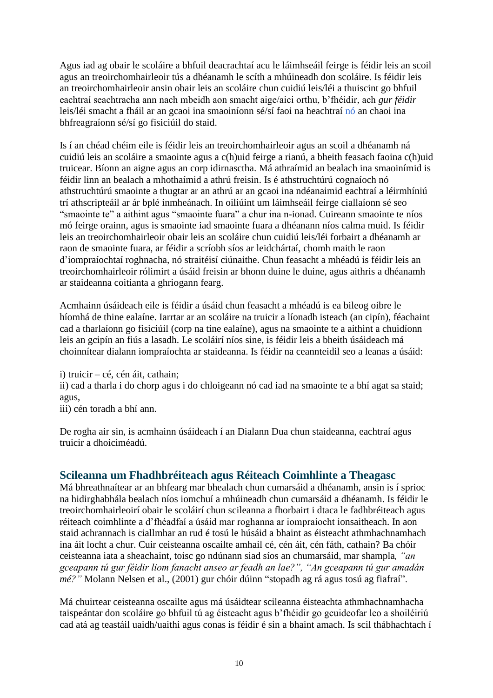Agus iad ag obair le scoláire a bhfuil deacrachtaí acu le láimhseáil feirge is féidir leis an scoil agus an treoirchomhairleoir tús a dhéanamh le scíth a mhúineadh don scoláire. Is féidir leis an treoirchomhairleoir ansin obair leis an scoláire chun cuidiú leis/léi a thuiscint go bhfuil eachtraí seachtracha ann nach mbeidh aon smacht aige/aici orthu, b'fhéidir, ach *gur féidir* leis/léi smacht a fháil ar an gcaoi ina smaoiníonn sé/sí faoi na heachtraí nó an chaoi ina bhfreagraíonn sé/sí go fisiciúil do staid.

Is í an chéad chéim eile is féidir leis an treoirchomhairleoir agus an scoil a dhéanamh ná cuidiú leis an scoláire a smaointe agus a c(h)uid feirge a rianú, a bheith feasach faoina c(h)uid truicear. Bíonn an aigne agus an corp idirnasctha. Má athraímid an bealach ina smaoinímid is féidir linn an bealach a mhothaímid a athrú freisin. Is é athstruchtúrú cognaíoch nó athstruchtúrú smaointe a thugtar ar an athrú ar an gcaoi ina ndéanaimid eachtraí a léirmhíniú trí athscripteáil ar ár bplé inmheánach. In oiliúint um láimhseáil feirge ciallaíonn sé seo "smaointe te" a aithint agus "smaointe fuara" a chur ina n-ionad. Cuireann smaointe te níos mó feirge orainn, agus is smaointe iad smaointe fuara a dhéanann níos calma muid. Is féidir leis an treoirchomhairleoir obair leis an scoláire chun cuidiú leis/léi forbairt a dhéanamh ar raon de smaointe fuara, ar féidir a scríobh síos ar leidchártaí, chomh maith le raon d'iompraíochtaí roghnacha, nó straitéisí ciúnaithe. Chun feasacht a mhéadú is féidir leis an treoirchomhairleoir rólimirt a úsáid freisin ar bhonn duine le duine, agus aithris a dhéanamh ar staideanna coitianta a ghriogann fearg.

Acmhainn úsáideach eile is féidir a úsáid chun feasacht a mhéadú is ea bileog oibre le híomhá de thine ealaíne. Iarrtar ar an scoláire na truicir a líonadh isteach (an cipín), féachaint cad a tharlaíonn go fisiciúil (corp na tine ealaíne), agus na smaointe te a aithint a chuidíonn leis an gcipín an fiús a lasadh. Le scoláirí níos sine, is féidir leis a bheith úsáideach má choinnítear dialann iompraíochta ar staideanna. Is féidir na ceannteidil seo a leanas a úsáid:

i) truicir – cé, cén áit, cathain;

ii) cad a tharla i do chorp agus i do chloigeann nó cad iad na smaointe te a bhí agat sa staid; agus,

iii) cén toradh a bhí ann.

De rogha air sin, is acmhainn úsáideach í an Dialann Dua chun staideanna, eachtraí agus truicir a dhoiciméadú.

## **Scileanna um Fhadhbréiteach agus Réiteach Coimhlinte a Theagasc**

Má bhreathnaítear ar an bhfearg mar bhealach chun cumarsáid a dhéanamh, ansin is í sprioc na hidirghabhála bealach níos iomchuí a mhúineadh chun cumarsáid a dhéanamh. Is féidir le treoirchomhairleoirí obair le scoláirí chun scileanna a fhorbairt i dtaca le fadhbréiteach agus réiteach coimhlinte a d'fhéadfaí a úsáid mar roghanna ar iompraíocht ionsaitheach. In aon staid achrannach is ciallmhar an rud é tosú le húsáid a bhaint as éisteacht athmhachnamhach ina áit locht a chur. Cuir ceisteanna oscailte amhail cé, cén áit, cén fáth, cathain? Ba chóir ceisteanna iata a sheachaint, toisc go ndúnann siad síos an chumarsáid, mar shampla*, "an gceapann tú gur féidir liom fanacht anseo ar feadh an lae?", "An gceapann tú gur amadán mé?"* Molann Nelsen et al., (2001) gur chóir dúinn "stopadh ag rá agus tosú ag fiafraí".

Má chuirtear ceisteanna oscailte agus má úsáidtear scileanna éisteachta athmhachnamhacha taispeántar don scoláire go bhfuil tú ag éisteacht agus b'fhéidir go gcuideofar leo a shoiléiriú cad atá ag teastáil uaidh/uaithi agus conas is féidir é sin a bhaint amach. Is scil thábhachtach í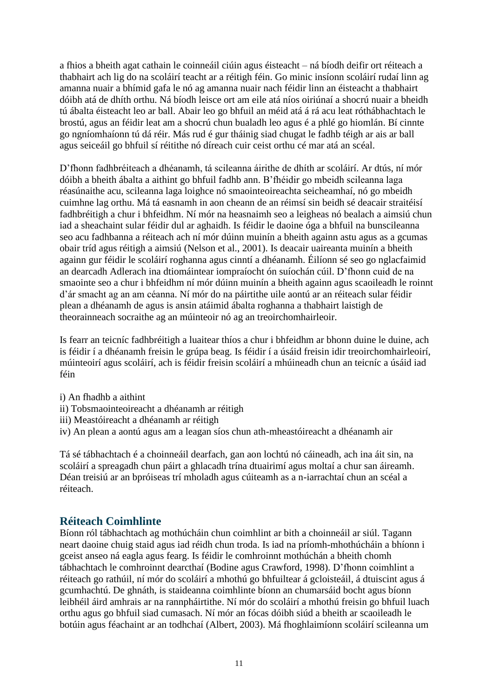a fhios a bheith agat cathain le coinneáil ciúin agus éisteacht – ná bíodh deifir ort réiteach a thabhairt ach lig do na scoláirí teacht ar a réitigh féin. Go minic insíonn scoláirí rudaí linn ag amanna nuair a bhímid gafa le nó ag amanna nuair nach féidir linn an éisteacht a thabhairt dóibh atá de dhíth orthu. Ná bíodh leisce ort am eile atá níos oiriúnaí a shocrú nuair a bheidh tú ábalta éisteacht leo ar ball. Abair leo go bhfuil an méid atá á rá acu leat róthábhachtach le brostú, agus an féidir leat am a shocrú chun bualadh leo agus é a phlé go hiomlán. Bí cinnte go ngníomhaíonn tú dá réir. Más rud é gur tháinig siad chugat le fadhb téigh ar ais ar ball agus seiceáil go bhfuil sí réitithe nó díreach cuir ceist orthu cé mar atá an scéal.

D'fhonn fadhbréiteach a dhéanamh, tá scileanna áirithe de dhíth ar scoláirí. Ar dtús, ní mór dóibh a bheith ábalta a aithint go bhfuil fadhb ann. B'fhéidir go mbeidh scileanna laga réasúnaithe acu, scileanna laga loighce nó smaointeoireachta seicheamhaí, nó go mbeidh cuimhne lag orthu. Má tá easnamh in aon cheann de an réimsí sin beidh sé deacair straitéisí fadhbréitigh a chur i bhfeidhm. Ní mór na heasnaimh seo a leigheas nó bealach a aimsiú chun iad a sheachaint sular féidir dul ar aghaidh. Is féidir le daoine óga a bhfuil na bunscileanna seo acu fadhbanna a réiteach ach ní mór dúinn muinín a bheith againn astu agus as a gcumas obair tríd agus réitigh a aimsiú (Nelson et al., 2001). Is deacair uaireanta muinín a bheith againn gur féidir le scoláirí roghanna agus cinntí a dhéanamh. Éilíonn sé seo go nglacfaimid an dearcadh Adlerach ina dtiomáintear iompraíocht ón suíochán cúil. D'fhonn cuid de na smaointe seo a chur i bhfeidhm ní mór dúinn muinín a bheith againn agus scaoileadh le roinnt d'ár smacht ag an am céanna. Ní mór do na páirtithe uile aontú ar an réiteach sular féidir plean a dhéanamh de agus is ansin atáimid ábalta roghanna a thabhairt laistigh de theorainneach socraithe ag an múinteoir nó ag an treoirchomhairleoir.

Is fearr an teicníc fadhbréitigh a luaitear thíos a chur i bhfeidhm ar bhonn duine le duine, ach is féidir í a dhéanamh freisin le grúpa beag. Is féidir í a úsáid freisin idir treoirchomhairleoirí, múinteoirí agus scoláirí, ach is féidir freisin scoláirí a mhúineadh chun an teicníc a úsáid iad féin

- i) An fhadhb a aithint
- ii) Tobsmaointeoireacht a dhéanamh ar réitigh
- iii) Meastóireacht a dhéanamh ar réitigh
- iv) An plean a aontú agus am a leagan síos chun ath-mheastóireacht a dhéanamh air

Tá sé tábhachtach é a choinneáil dearfach, gan aon lochtú nó cáineadh, ach ina áit sin, na scoláirí a spreagadh chun páirt a ghlacadh trína dtuairimí agus moltaí a chur san áireamh. Déan treisiú ar an bpróiseas trí mholadh agus cúiteamh as a n-iarrachtaí chun an scéal a réiteach.

#### **Réiteach Coimhlinte**

Bíonn ról tábhachtach ag mothúcháin chun coimhlint ar bith a choinneáil ar siúl. Tagann neart daoine chuig staid agus iad réidh chun troda. Is iad na príomh-mhothúcháin a bhíonn i gceist anseo ná eagla agus fearg. Is féidir le comhroinnt mothúchán a bheith chomh tábhachtach le comhroinnt dearcthaí (Bodine agus Crawford, 1998). D'fhonn coimhlint a réiteach go rathúil, ní mór do scoláirí a mhothú go bhfuiltear á gcloisteáil, á dtuiscint agus á gcumhachtú. De ghnáth, is staideanna coimhlinte bíonn an chumarsáid bocht agus bíonn leibhéil áird amhrais ar na rannpháirtithe. Ní mór do scoláirí a mhothú freisin go bhfuil luach orthu agus go bhfuil siad cumasach. Ní mór an fócas dóibh siúd a bheith ar scaoileadh le botúin agus féachaint ar an todhchaí (Albert, 2003). Má fhoghlaimíonn scoláirí scileanna um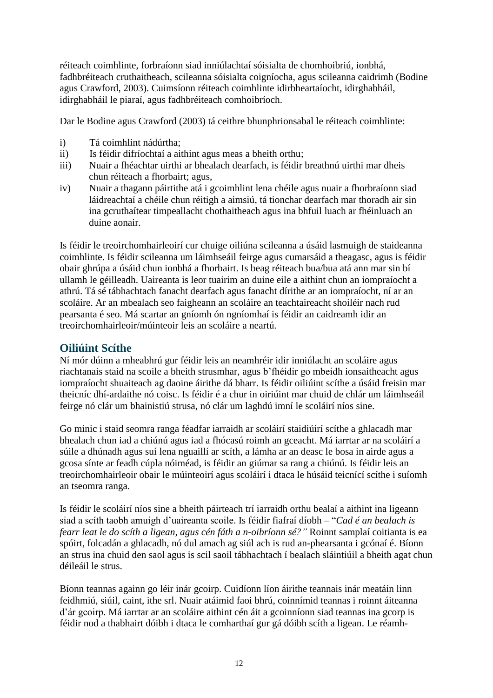réiteach coimhlinte, forbraíonn siad inniúlachtaí sóisialta de chomhoibriú, ionbhá, fadhbréiteach cruthaitheach, scileanna sóisialta coigníocha, agus scileanna caidrimh (Bodine agus Crawford, 2003). Cuimsíonn réiteach coimhlinte idirbheartaíocht, idirghabháil, idirghabháil le piaraí, agus fadhbréiteach comhoibríoch.

Dar le Bodine agus Crawford (2003) tá ceithre bhunphrionsabal le réiteach coimhlinte:

- i) Tá coimhlint nádúrtha;
- ii) Is féidir difríochtaí a aithint agus meas a bheith orthu;
- iii) Nuair a fhéachtar uirthi ar bhealach dearfach, is féidir breathnú uirthi mar dheis chun réiteach a fhorbairt; agus,
- iv) Nuair a thagann páirtithe atá i gcoimhlint lena chéile agus nuair a fhorbraíonn siad láidreachtaí a chéile chun réitigh a aimsiú, tá tionchar dearfach mar thoradh air sin ina gcruthaítear timpeallacht chothaitheach agus ina bhfuil luach ar fhéinluach an duine aonair.

Is féidir le treoirchomhairleoirí cur chuige oiliúna scileanna a úsáid lasmuigh de staideanna coimhlinte. Is féidir scileanna um láimhseáil feirge agus cumarsáid a theagasc, agus is féidir obair ghrúpa a úsáid chun ionbhá a fhorbairt. Is beag réiteach bua/bua atá ann mar sin bí ullamh le géilleadh. Uaireanta is leor tuairim an duine eile a aithint chun an iompraíocht a athrú. Tá sé tábhachtach fanacht dearfach agus fanacht dírithe ar an iompraíocht, ní ar an scoláire. Ar an mbealach seo faigheann an scoláire an teachtaireacht shoiléir nach rud pearsanta é seo. Má scartar an gníomh ón ngníomhaí is féidir an caidreamh idir an treoirchomhairleoir/múinteoir leis an scoláire a neartú.

#### **Oiliúint Scíthe**

Ní mór dúinn a mheabhrú gur féidir leis an neamhréir idir inniúlacht an scoláire agus riachtanais staid na scoile a bheith strusmhar, agus b'fhéidir go mbeidh ionsaitheacht agus iompraíocht shuaiteach ag daoine áirithe dá bharr. Is féidir oiliúint scíthe a úsáid freisin mar theicníc dhí-ardaithe nó coisc. Is féidir é a chur in oiriúint mar chuid de chlár um láimhseáil feirge nó clár um bhainistiú strusa, nó clár um laghdú imní le scoláirí níos sine.

Go minic i staid seomra ranga féadfar iarraidh ar scoláirí staidiúirí scíthe a ghlacadh mar bhealach chun iad a chiúnú agus iad a fhócasú roimh an gceacht. Má iarrtar ar na scoláirí a súile a dhúnadh agus suí lena nguaillí ar scíth, a lámha ar an deasc le bosa in airde agus a gcosa sínte ar feadh cúpla nóiméad, is féidir an giúmar sa rang a chiúnú. Is féidir leis an treoirchomhairleoir obair le múinteoirí agus scoláirí i dtaca le húsáid teicnící scíthe i suíomh an tseomra ranga.

Is féidir le scoláirí níos sine a bheith páirteach trí iarraidh orthu bealaí a aithint ina ligeann siad a scíth taobh amuigh d'uaireanta scoile. Is féidir fiafraí díobh – "*Cad é an bealach is fearr leat le do scíth a ligean, agus cén fáth a n-oibríonn sé?"* Roinnt samplaí coitianta is ea spóirt, folcadán a ghlacadh, nó dul amach ag siúl ach is rud an-phearsanta i gcónaí é. Bíonn an strus ina chuid den saol agus is scil saoil tábhachtach í bealach sláintiúil a bheith agat chun déileáil le strus.

Bíonn teannas againn go léir inár gcoirp. Cuidíonn líon áirithe teannais inár meatáin linn feidhmiú, siúil, caint, ithe srl. Nuair atáimid faoi bhrú, coinnímid teannas i roinnt áiteanna d'ár gcoirp. Má iarrtar ar an scoláire aithint cén áit a gcoinníonn siad teannas ina gcorp is féidir nod a thabhairt dóibh i dtaca le comharthaí gur gá dóibh scíth a ligean. Le réamh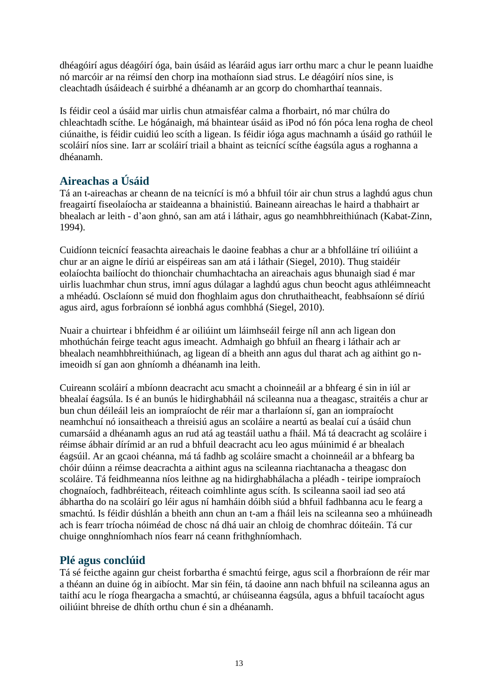dhéagóirí agus déagóirí óga, bain úsáid as léaráid agus iarr orthu marc a chur le peann luaidhe nó marcóir ar na réimsí den chorp ina mothaíonn siad strus. Le déagóirí níos sine, is cleachtadh úsáideach é suirbhé a dhéanamh ar an gcorp do chomharthaí teannais.

Is féidir ceol a úsáid mar uirlis chun atmaisféar calma a fhorbairt, nó mar chúlra do chleachtadh scíthe. Le hógánaigh, má bhaintear úsáid as iPod nó fón póca lena rogha de cheol ciúnaithe, is féidir cuidiú leo scíth a ligean. Is féidir ióga agus machnamh a úsáid go rathúil le scoláirí níos sine. Iarr ar scoláirí triail a bhaint as teicnící scíthe éagsúla agus a roghanna a dhéanamh.

## **Aireachas a Úsáid**

Tá an t-aireachas ar cheann de na teicnící is mó a bhfuil tóir air chun strus a laghdú agus chun freagairtí fiseolaíocha ar staideanna a bhainistiú. Baineann aireachas le haird a thabhairt ar bhealach ar leith - d'aon ghnó, san am atá i láthair, agus go neamhbhreithiúnach (Kabat-Zinn, 1994).

Cuidíonn teicnící feasachta aireachais le daoine feabhas a chur ar a bhfolláine trí oiliúint a chur ar an aigne le díriú ar eispéireas san am atá i láthair (Siegel, 2010). Thug staidéir eolaíochta bailíocht do thionchair chumhachtacha an aireachais agus bhunaigh siad é mar uirlis luachmhar chun strus, imní agus dúlagar a laghdú agus chun beocht agus athléimneacht a mhéadú. Osclaíonn sé muid don fhoghlaim agus don chruthaitheacht, feabhsaíonn sé díriú agus aird, agus forbraíonn sé ionbhá agus comhbhá (Siegel, 2010).

Nuair a chuirtear i bhfeidhm é ar oiliúint um láimhseáil feirge níl ann ach ligean don mhothúchán feirge teacht agus imeacht. Admhaigh go bhfuil an fhearg i láthair ach ar bhealach neamhbhreithiúnach, ag ligean dí a bheith ann agus dul tharat ach ag aithint go nimeoidh sí gan aon ghníomh a dhéanamh ina leith.

Cuireann scoláirí a mbíonn deacracht acu smacht a choinneáil ar a bhfearg é sin in iúl ar bhealaí éagsúla. Is é an bunús le hidirghabháil ná scileanna nua a theagasc, straitéis a chur ar bun chun déileáil leis an iompraíocht de réir mar a tharlaíonn sí, gan an iompraíocht neamhchuí nó ionsaitheach a threisiú agus an scoláire a neartú as bealaí cuí a úsáid chun cumarsáid a dhéanamh agus an rud atá ag teastáil uathu a fháil. Má tá deacracht ag scoláire i réimse ábhair dírímid ar an rud a bhfuil deacracht acu leo agus múinimid é ar bhealach éagsúil. Ar an gcaoi chéanna, má tá fadhb ag scoláire smacht a choinneáil ar a bhfearg ba chóir dúinn a réimse deacrachta a aithint agus na scileanna riachtanacha a theagasc don scoláire. Tá feidhmeanna níos leithne ag na hidirghabhálacha a pléadh - teiripe iompraíoch chognaíoch, fadhbréiteach, réiteach coimhlinte agus scíth. Is scileanna saoil iad seo atá ábhartha do na scoláirí go léir agus ní hamháin dóibh siúd a bhfuil fadhbanna acu le fearg a smachtú. Is féidir dúshlán a bheith ann chun an t-am a fháil leis na scileanna seo a mhúineadh ach is fearr tríocha nóiméad de chosc ná dhá uair an chloig de chomhrac dóiteáin. Tá cur chuige onnghníomhach níos fearr ná ceann frithghníomhach.

## **Plé agus conclúid**

Tá sé feicthe againn gur cheist forbartha é smachtú feirge, agus scil a fhorbraíonn de réir mar a théann an duine óg in aibíocht. Mar sin féin, tá daoine ann nach bhfuil na scileanna agus an taithí acu le ríoga fheargacha a smachtú, ar chúiseanna éagsúla, agus a bhfuil tacaíocht agus oiliúint bhreise de dhíth orthu chun é sin a dhéanamh.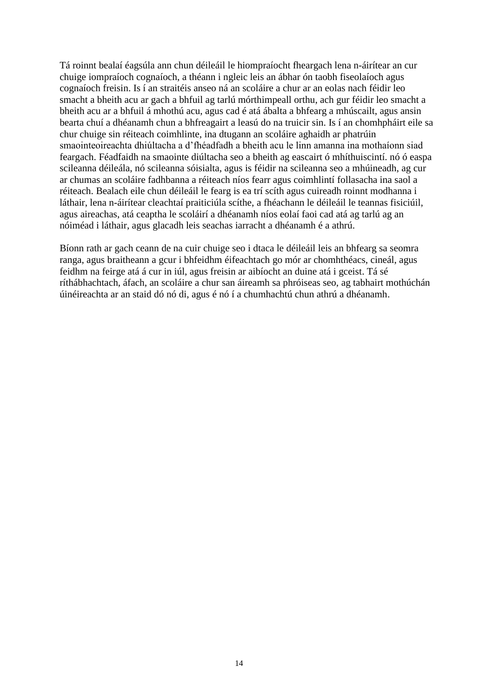Tá roinnt bealaí éagsúla ann chun déileáil le hiompraíocht fheargach lena n-áirítear an cur chuige iompraíoch cognaíoch, a théann i ngleic leis an ábhar ón taobh fiseolaíoch agus cognaíoch freisin. Is í an straitéis anseo ná an scoláire a chur ar an eolas nach féidir leo smacht a bheith acu ar gach a bhfuil ag tarlú mórthimpeall orthu, ach gur féidir leo smacht a bheith acu ar a bhfuil á mhothú acu, agus cad é atá ábalta a bhfearg a mhúscailt, agus ansin bearta chuí a dhéanamh chun a bhfreagairt a leasú do na truicir sin. Is í an chomhpháirt eile sa chur chuige sin réiteach coimhlinte, ina dtugann an scoláire aghaidh ar phatrúin smaointeoireachta dhiúltacha a d'fhéadfadh a bheith acu le linn amanna ina mothaíonn siad feargach. Féadfaidh na smaointe diúltacha seo a bheith ag eascairt ó mhíthuiscintí. nó ó easpa scileanna déileála, nó scileanna sóisialta, agus is féidir na scileanna seo a mhúineadh, ag cur ar chumas an scoláire fadhbanna a réiteach níos fearr agus coimhlintí follasacha ina saol a réiteach. Bealach eile chun déileáil le fearg is ea trí scíth agus cuireadh roinnt modhanna i láthair, lena n-áirítear cleachtaí praiticiúla scíthe, a fhéachann le déileáil le teannas fisiciúil, agus aireachas, atá ceaptha le scoláirí a dhéanamh níos eolaí faoi cad atá ag tarlú ag an nóiméad i láthair, agus glacadh leis seachas iarracht a dhéanamh é a athrú.

Bíonn rath ar gach ceann de na cuir chuige seo i dtaca le déileáil leis an bhfearg sa seomra ranga, agus braitheann a gcur i bhfeidhm éifeachtach go mór ar chomhthéacs, cineál, agus feidhm na feirge atá á cur in iúl, agus freisin ar aibíocht an duine atá i gceist. Tá sé ríthábhachtach, áfach, an scoláire a chur san áireamh sa phróiseas seo, ag tabhairt mothúchán úinéireachta ar an staid dó nó di, agus é nó í a chumhachtú chun athrú a dhéanamh.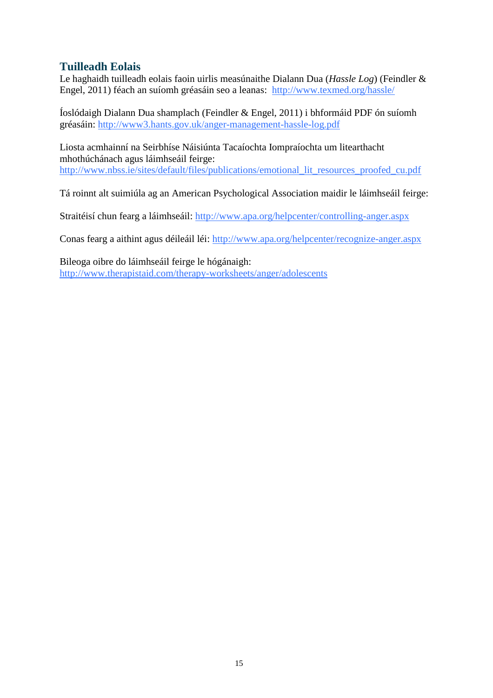## **Tuilleadh Eolais**

Le haghaidh tuilleadh eolais faoin uirlis measúnaithe Dialann Dua (*Hassle Log*) (Feindler & Engel, 2011) féach an suíomh gréasáin seo a leanas: <http://www.texmed.org/hassle/>

Íoslódaigh Dialann Dua shamplach (Feindler & Engel, 2011) i bhformáid PDF ón suíomh gréasáin:<http://www3.hants.gov.uk/anger-management-hassle-log.pdf>

Liosta acmhainní na Seirbhíse Náisiúnta Tacaíochta Iompraíochta um litearthacht mhothúchánach agus láimhseáil feirge: [http://www.nbss.ie/sites/default/files/publications/emotional\\_lit\\_resources\\_proofed\\_cu.pdf](http://www.nbss.ie/sites/default/files/publications/emotional_lit_resources_proofed_cu.pdf)

Tá roinnt alt suimiúla ag an American Psychological Association maidir le láimhseáil feirge:

Straitéisí chun fearg a láimhseáil:<http://www.apa.org/helpcenter/controlling-anger.aspx>

Conas fearg a aithint agus déileáil léi:<http://www.apa.org/helpcenter/recognize-anger.aspx>

Bileoga oibre do láimhseáil feirge le hógánaigh: <http://www.therapistaid.com/therapy-worksheets/anger/adolescents>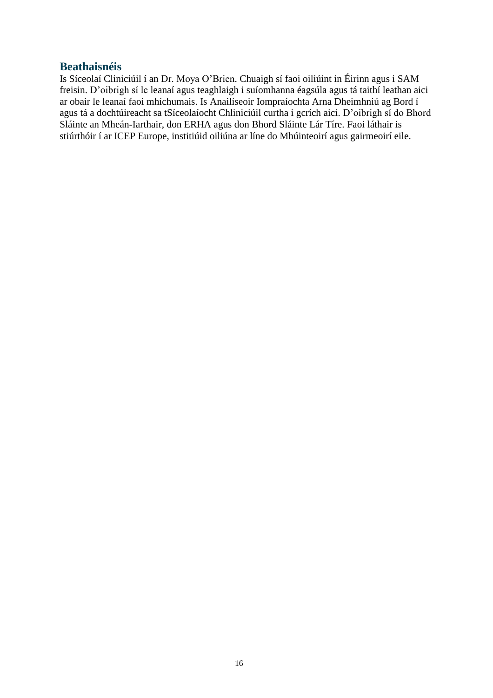#### **Beathaisnéis**

Is Síceolaí Cliniciúil í an Dr. Moya O'Brien. Chuaigh sí faoi oiliúint in Éirinn agus i SAM freisin. D'oibrigh sí le leanaí agus teaghlaigh i suíomhanna éagsúla agus tá taithí leathan aici ar obair le leanaí faoi mhíchumais. Is Anailíseoir Iompraíochta Arna Dheimhniú ag Bord í agus tá a dochtúireacht sa tSíceolaíocht Chliniciúil curtha i gcrích aici. D'oibrigh sí do Bhord Sláinte an Mheán-Iarthair, don ERHA agus don Bhord Sláinte Lár Tíre. Faoi láthair is stiúrthóir í ar ICEP Europe, institiúid oiliúna ar líne do Mhúinteoirí agus gairmeoirí eile.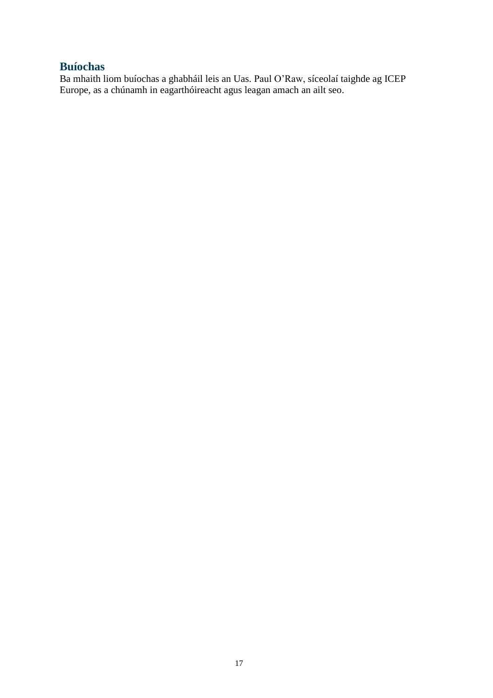## **Buíochas**

Ba mhaith liom buíochas a ghabháil leis an Uas. Paul O'Raw, síceolaí taighde ag ICEP Europe, as a chúnamh in eagarthóireacht agus leagan amach an ailt seo.